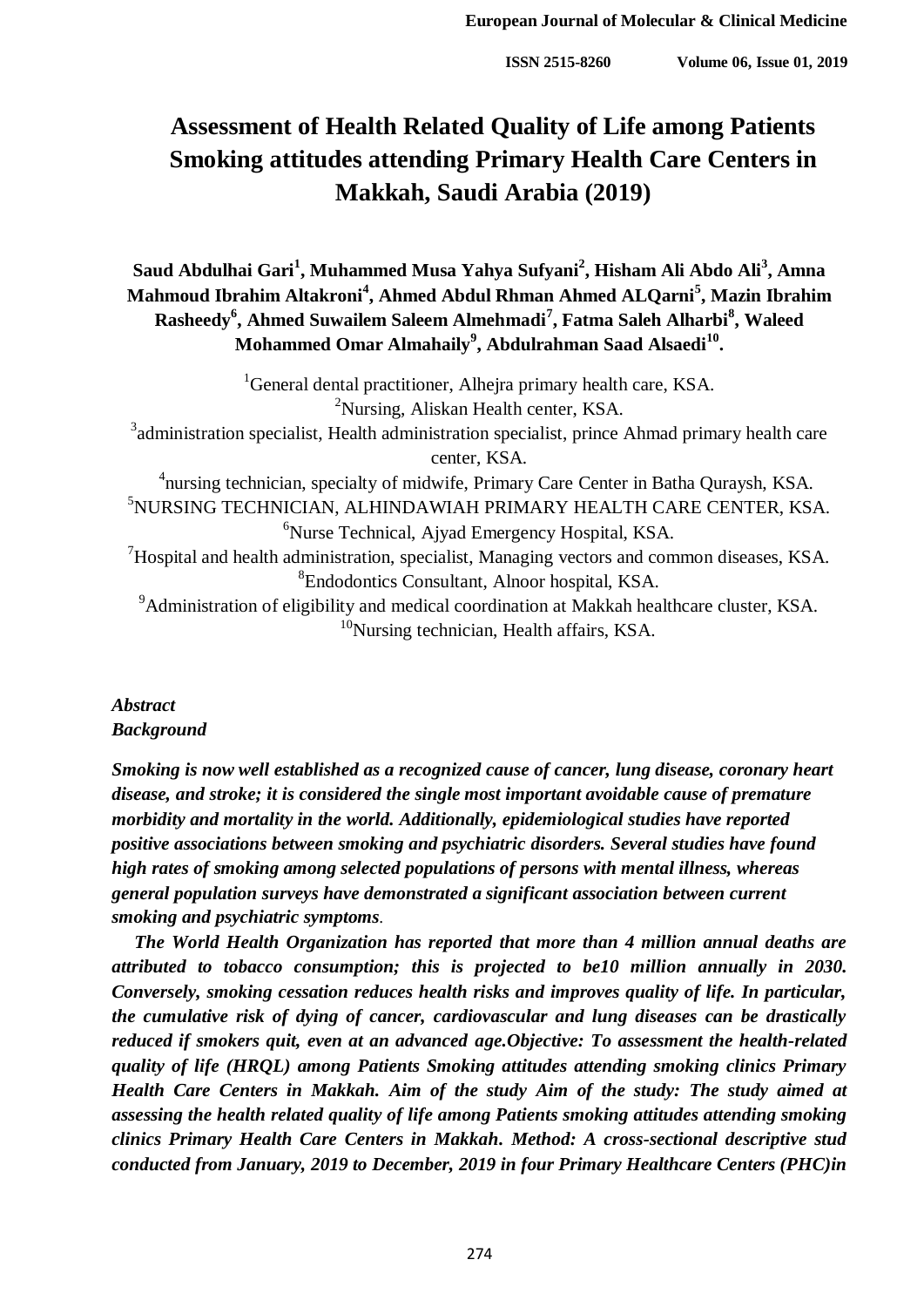# **Assessment of Health Related Quality of Life among Patients Smoking attitudes attending Primary Health Care Centers in Makkah, Saudi Arabia (2019)**

# **Saud Abdulhai Gari<sup>1</sup> , Muhammed Musa Yahya Sufyani<sup>2</sup> , Hisham Ali Abdo Ali<sup>3</sup> , Amna Mahmoud Ibrahim Altakroni<sup>4</sup> , Ahmed Abdul Rhman Ahmed ALQarni<sup>5</sup> , Mazin Ibrahim Rasheedy<sup>6</sup> , Ahmed Suwailem Saleem Almehmadi<sup>7</sup> , Fatma Saleh Alharbi<sup>8</sup> , Waleed Mohammed Omar Almahaily<sup>9</sup> , Abdulrahman Saad Alsaedi<sup>10</sup> .**

<sup>1</sup>General dental practitioner, Alhejra primary health care, KSA. <sup>2</sup>Nursing, Aliskan Health center, KSA.  $3$  administration specialist, Health administration specialist, prince Ahmad primary health care center, KSA. <sup>4</sup>nursing technician, specialty of midwife, Primary Care Center in Batha Quraysh, KSA. <sup>5</sup>NURSING TECHNICIAN, ALHINDAWIAH PRIMARY HEALTH CARE CENTER, KSA. <sup>6</sup>Nurse Technical, Ajyad Emergency Hospital, KSA.  $7$ Hospital and health administration, specialist, Managing vectors and common diseases, KSA. 8 Endodontics Consultant, Alnoor hospital, KSA. <sup>9</sup>Administration of eligibility and medical coordination at Makkah healthcare cluster, KSA.  $10$ Nursing technician, Health affairs, KSA.

# *Abstract Background*

*Smoking is now well established as a recognized cause of cancer, lung disease, coronary heart disease, and stroke; it is considered the single most important avoidable cause of premature morbidity and mortality in the world. Additionally, epidemiological studies have reported positive associations between smoking and psychiatric disorders. Several studies have found high rates of smoking among selected populations of persons with mental illness, whereas general population surveys have demonstrated a significant association between current smoking and psychiatric symptoms*.

 *The World Health Organization has reported that more than 4 million annual deaths are attributed to tobacco consumption; this is projected to be10 million annually in 2030. Conversely, smoking cessation reduces health risks and improves quality of life. In particular, the cumulative risk of dying of cancer, cardiovascular and lung diseases can be drastically reduced if smokers quit, even at an advanced age.Objective: To assessment the health-related quality of life (HRQL) among Patients Smoking attitudes attending smoking clinics Primary Health Care Centers in Makkah. Aim of the study Aim of the study: The study aimed at assessing the health related quality of life among Patients smoking attitudes attending smoking clinics Primary Health Care Centers in Makkah. Method: A cross-sectional descriptive stud conducted from January, 2019 to December, 2019 in four Primary Healthcare Centers (PHC)in*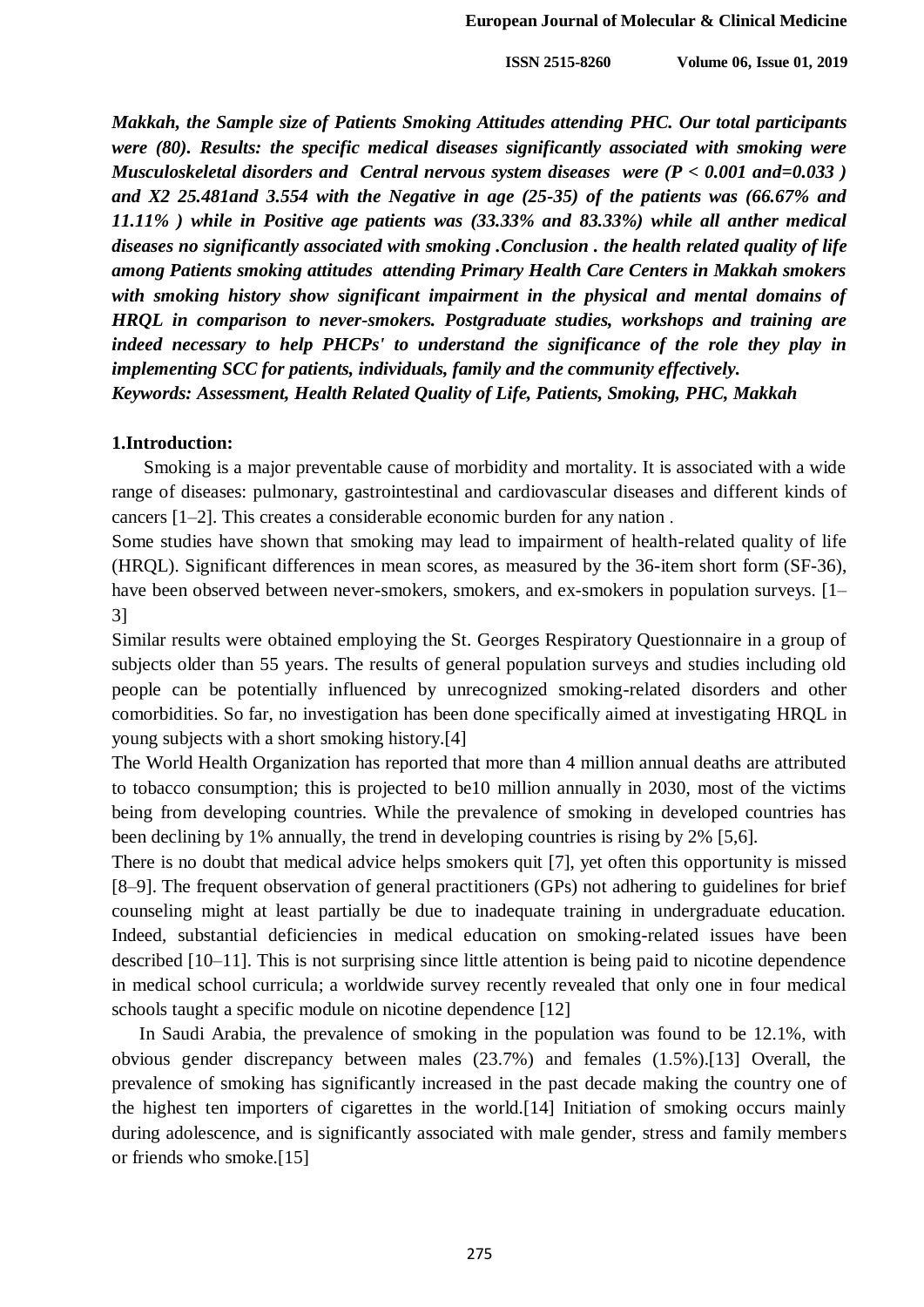*Makkah, the Sample size of Patients Smoking Attitudes attending PHC. Our total participants were (80). Results: the specific medical diseases significantly associated with smoking were Musculoskeletal disorders and Central nervous system diseases were (P < 0.001 and=0.033 ) and X2 25.481and 3.554 with the Negative in age (25-35) of the patients was (66.67% and 11.11% ) while in Positive age patients was (33.33% and 83.33%) while all anther medical diseases no significantly associated with smoking .Conclusion . the health related quality of life among Patients smoking attitudes attending Primary Health Care Centers in Makkah smokers with smoking history show significant impairment in the physical and mental domains of HRQL in comparison to never-smokers. Postgraduate studies, workshops and training are indeed necessary to help PHCPs' to understand the significance of the role they play in implementing SCC for patients, individuals, family and the community effectively.*

*Keywords: Assessment, Health Related Quality of Life, Patients, Smoking, PHC, Makkah*

#### **1.Introduction:**

 Smoking is a major preventable cause of morbidity and mortality. It is associated with a wide range of diseases: pulmonary, gastrointestinal and cardiovascular diseases and different kinds of cancers [1–2]. This creates a considerable economic burden for any nation .

Some studies have shown that smoking may lead to impairment of health-related quality of life (HRQL). Significant differences in mean scores, as measured by the 36-item short form (SF-36), have been observed between never-smokers, smokers, and ex-smokers in population surveys. [1– 3]

Similar results were obtained employing the St. Georges Respiratory Questionnaire in a group of subjects older than 55 years. The results of general population surveys and studies including old people can be potentially influenced by unrecognized smoking-related disorders and other comorbidities. So far, no investigation has been done specifically aimed at investigating HRQL in young subjects with a short smoking history.[4]

The World Health Organization has reported that more than 4 million annual deaths are attributed to tobacco consumption; this is projected to be10 million annually in 2030, most of the victims being from developing countries. While the prevalence of smoking in developed countries has been declining by 1% annually, the trend in developing countries is rising by 2% [5,6].

There is no doubt that medical advice helps smokers quit [7], yet often this opportunity is missed [8–9]. The frequent observation of general practitioners (GPs) not adhering to guidelines for brief counseling might at least partially be due to inadequate training in undergraduate education. Indeed, substantial deficiencies in medical education on smoking-related issues have been described [10–11]. This is not surprising since little attention is being paid to nicotine dependence in medical school curricula; a worldwide survey recently revealed that only one in four medical schools taught a specific module on nicotine dependence [12]

 In Saudi Arabia, the prevalence of smoking in the population was found to be 12.1%, with obvious gender discrepancy between males (23.7%) and females (1.5%).[13] Overall, the prevalence of smoking has significantly increased in the past decade making the country one of the highest ten importers of cigarettes in the world.[14] Initiation of smoking occurs mainly during adolescence, and is significantly associated with male gender, stress and family members or friends who smoke.[15]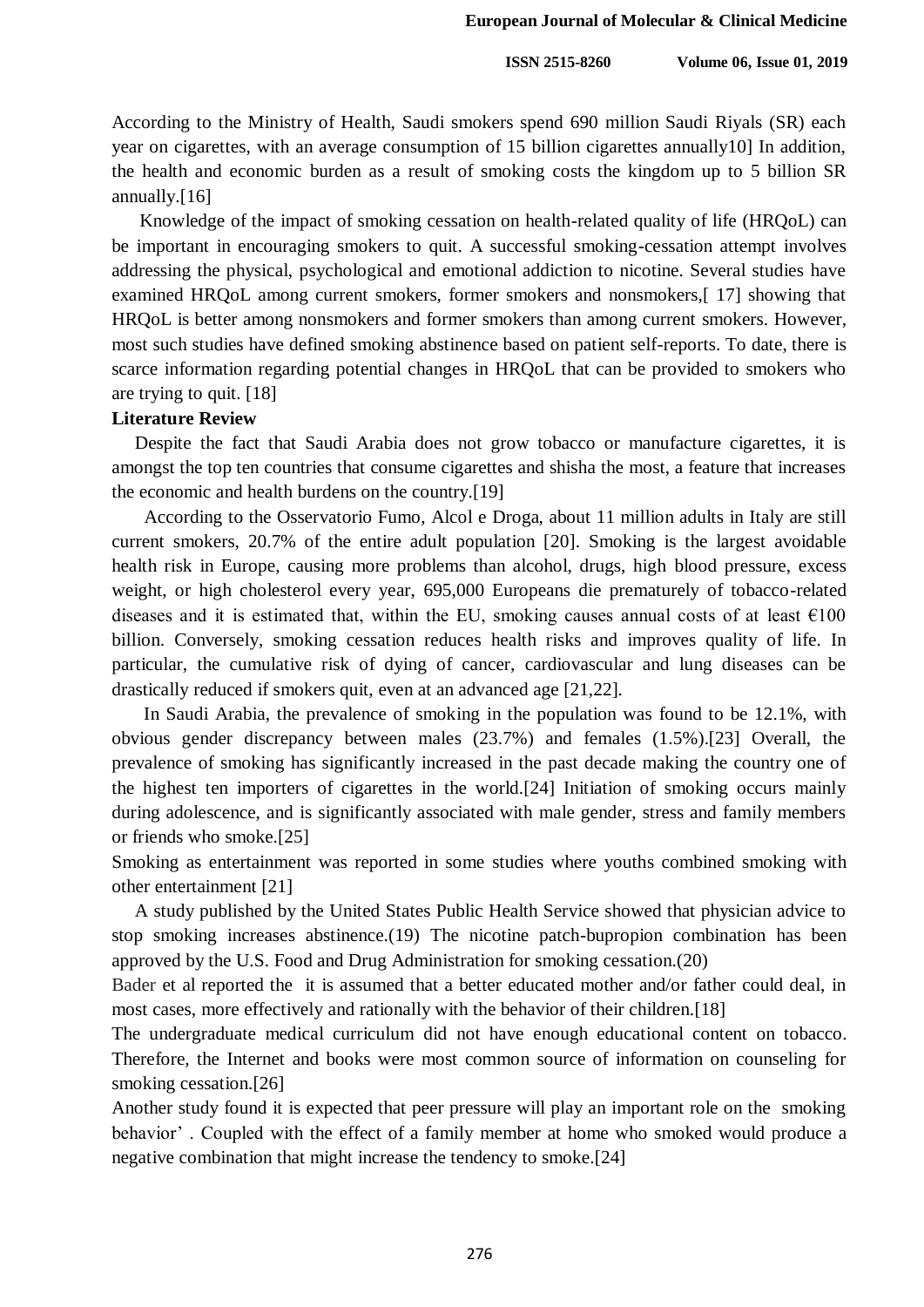According to the Ministry of Health, Saudi smokers spend 690 million Saudi Riyals (SR) each year on cigarettes, with an average consumption of 15 billion cigarettes annually10] In addition, the health and economic burden as a result of smoking costs the kingdom up to 5 billion SR annually.[16]

 Knowledge of the impact of smoking cessation on health-related quality of life (HRQoL) can be important in encouraging smokers to quit. A successful smoking-cessation attempt involves addressing the physical, psychological and emotional addiction to nicotine. Several studies have examined HRQoL among current smokers, former smokers and nonsmokers,[ 17] showing that HRQoL is better among nonsmokers and former smokers than among current smokers. However, most such studies have defined smoking abstinence based on patient self-reports. To date, there is scarce information regarding potential changes in HRQoL that can be provided to smokers who are trying to quit. [18]

#### **Literature Review**

 Despite the fact that Saudi Arabia does not grow tobacco or manufacture cigarettes, it is amongst the top ten countries that consume cigarettes and shisha the most, a feature that increases the economic and health burdens on the country.[19]

 According to the Osservatorio Fumo, Alcol e Droga, about 11 million adults in Italy are still current smokers, 20.7% of the entire adult population [20]. Smoking is the largest avoidable health risk in Europe, causing more problems than alcohol, drugs, high blood pressure, excess weight, or high cholesterol every year, 695,000 Europeans die prematurely of tobacco-related diseases and it is estimated that, within the EU, smoking causes annual costs of at least  $\epsilon$ 100 billion. Conversely, smoking cessation reduces health risks and improves quality of life. In particular, the cumulative risk of dying of cancer, cardiovascular and lung diseases can be drastically reduced if smokers quit, even at an advanced age [21,22].

 In Saudi Arabia, the prevalence of smoking in the population was found to be 12.1%, with obvious gender discrepancy between males (23.7%) and females (1.5%).[23] Overall, the prevalence of smoking has significantly increased in the past decade making the country one of the highest ten importers of cigarettes in the world.[24] Initiation of smoking occurs mainly during adolescence, and is significantly associated with male gender, stress and family members or friends who smoke.[25]

Smoking as entertainment was reported in some studies where youths combined smoking with other entertainment [21]

 A study published by the United States Public Health Service showed that physician advice to stop smoking increases abstinence.(19) The nicotine patch-bupropion combination has been approved by the U.S. Food and Drug Administration for smoking cessation.(20)

Bader et al reported the it is assumed that a better educated mother and/or father could deal, in most cases, more effectively and rationally with the behavior of their children.[18]

The undergraduate medical curriculum did not have enough educational content on tobacco. Therefore, the Internet and books were most common source of information on counseling for smoking cessation.[26]

Another study found it is expected that peer pressure will play an important role on the smoking behavior' . Coupled with the effect of a family member at home who smoked would produce a negative combination that might increase the tendency to smoke.[24]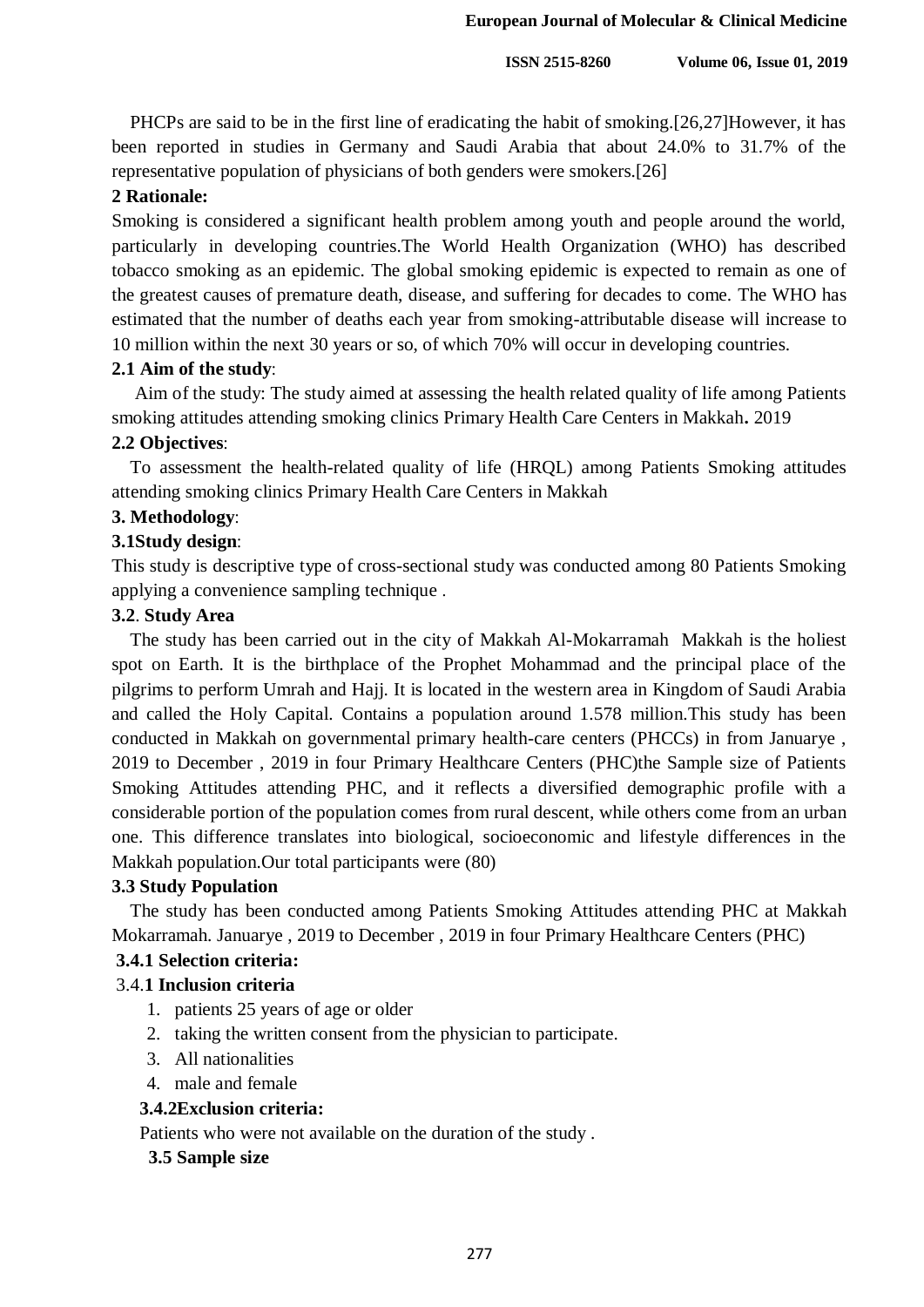PHCPs are said to be in the first line of eradicating the habit of smoking.[26,27]However, it has been reported in studies in Germany and Saudi Arabia that about 24.0% to 31.7% of the representative population of physicians of both genders were smokers.[26]

## **2 Rationale:**

Smoking is considered a significant health problem among youth and people around the world, particularly in developing countries.The World Health Organization (WHO) has described tobacco smoking as an epidemic. The global smoking epidemic is expected to remain as one of the greatest causes of premature death, disease, and suffering for decades to come. The WHO has estimated that the number of deaths each year from smoking-attributable disease will increase to 10 million within the next 30 years or so, of which 70% will occur in developing countries.

## **2.1 Aim of the study**:

 Aim of the study: The study aimed at assessing the health related quality of life among Patients smoking attitudes attending smoking clinics Primary Health Care Centers in Makkah**.** 2019

# **2.2 Objectives**:

 To assessment the health-related quality of life (HRQL) among Patients Smoking attitudes attending smoking clinics Primary Health Care Centers in Makkah

# **3. Methodology**:

## **3.1Study design**:

This study is descriptive type of cross-sectional study was conducted among 80 Patients Smoking applying a convenience sampling technique .

## **3.2**. **Study Area**

 The study has been carried out in the city of Makkah Al-Mokarramah Makkah is the holiest spot on Earth. It is the birthplace of the Prophet Mohammad and the principal place of the pilgrims to perform Umrah and Hajj. It is located in the western area in Kingdom of Saudi Arabia and called the Holy Capital. Contains a population around 1.578 million.This study has been conducted in Makkah on governmental primary health-care centers (PHCCs) in from Januarye , 2019 to December , 2019 in four Primary Healthcare Centers (PHC)the Sample size of Patients Smoking Attitudes attending PHC, and it reflects a diversified demographic profile with a considerable portion of the population comes from rural descent, while others come from an urban one. This difference translates into biological, socioeconomic and lifestyle differences in the Makkah population.Our total participants were (80)

## **3.3 Study Population**

 The study has been conducted among Patients Smoking Attitudes attending PHC at Makkah Mokarramah. Januarye , 2019 to December , 2019 in four Primary Healthcare Centers (PHC)

## **3.4.1 Selection criteria:**

## 3.4.**1 Inclusion criteria**

- 1. patients 25 years of age or older
- 2. taking the written consent from the physician to participate.
- 3. All nationalities
- 4. male and female

## **3.4.2Exclusion criteria:**

Patients who were not available on the duration of the study .

## **3.5 Sample size**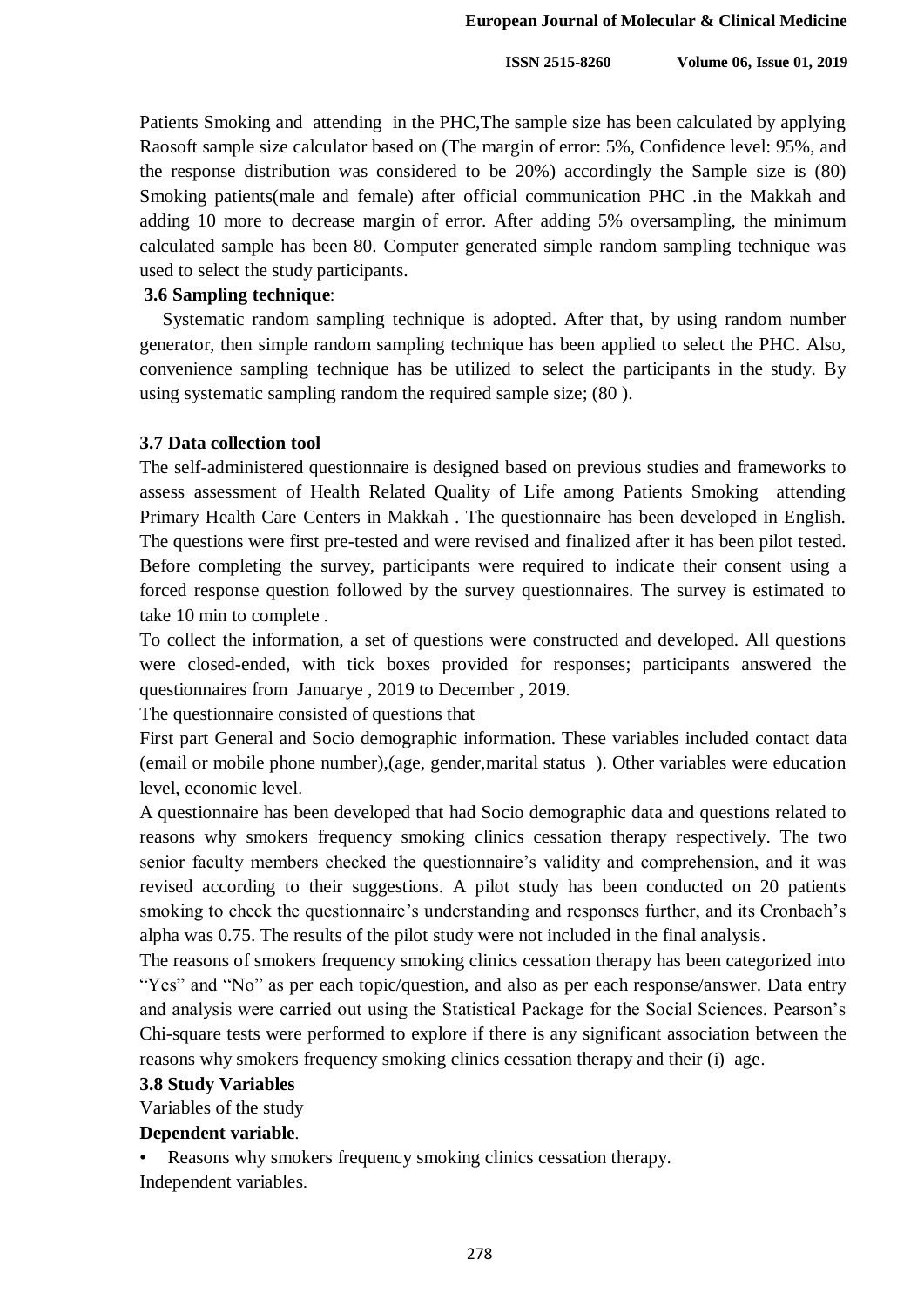Patients Smoking and attending in the PHC,The sample size has been calculated by applying Raosoft sample size calculator based on (The margin of error: 5%, Confidence level: 95%, and the response distribution was considered to be 20%) accordingly the Sample size is (80) Smoking patients(male and female) after official communication PHC .in the Makkah and adding 10 more to decrease margin of error. After adding 5% oversampling, the minimum calculated sample has been 80. Computer generated simple random sampling technique was used to select the study participants.

#### **3.6 Sampling technique**:

 Systematic random sampling technique is adopted. After that, by using random number generator, then simple random sampling technique has been applied to select the PHC. Also, convenience sampling technique has be utilized to select the participants in the study. By using systematic sampling random the required sample size; (80 ).

#### **3.7 Data collection tool**

The self-administered questionnaire is designed based on previous studies and frameworks to assess assessment of Health Related Quality of Life among Patients Smoking attending Primary Health Care Centers in Makkah . The questionnaire has been developed in English. The questions were first pre-tested and were revised and finalized after it has been pilot tested. Before completing the survey, participants were required to indicate their consent using a forced response question followed by the survey questionnaires. The survey is estimated to take 10 min to complete .

To collect the information, a set of questions were constructed and developed. All questions were closed-ended, with tick boxes provided for responses; participants answered the questionnaires from Januarye , 2019 to December , 2019.

The questionnaire consisted of questions that

First part General and Socio demographic information. These variables included contact data (email or mobile phone number),(age, gender,marital status ). Other variables were education level, economic level.

A questionnaire has been developed that had Socio demographic data and questions related to reasons why smokers frequency smoking clinics cessation therapy respectively. The two senior faculty members checked the questionnaire's validity and comprehension, and it was revised according to their suggestions. A pilot study has been conducted on 20 patients smoking to check the questionnaire's understanding and responses further, and its Cronbach's alpha was 0.75. The results of the pilot study were not included in the final analysis.

The reasons of smokers frequency smoking clinics cessation therapy has been categorized into "Yes" and "No" as per each topic/question, and also as per each response/answer. Data entry and analysis were carried out using the Statistical Package for the Social Sciences. Pearson's Chi-square tests were performed to explore if there is any significant association between the reasons why smokers frequency smoking clinics cessation therapy and their (i) age.

#### **3.8 Study Variables**

Variables of the study

#### **Dependent variable**.

Reasons why smokers frequency smoking clinics cessation therapy. Independent variables.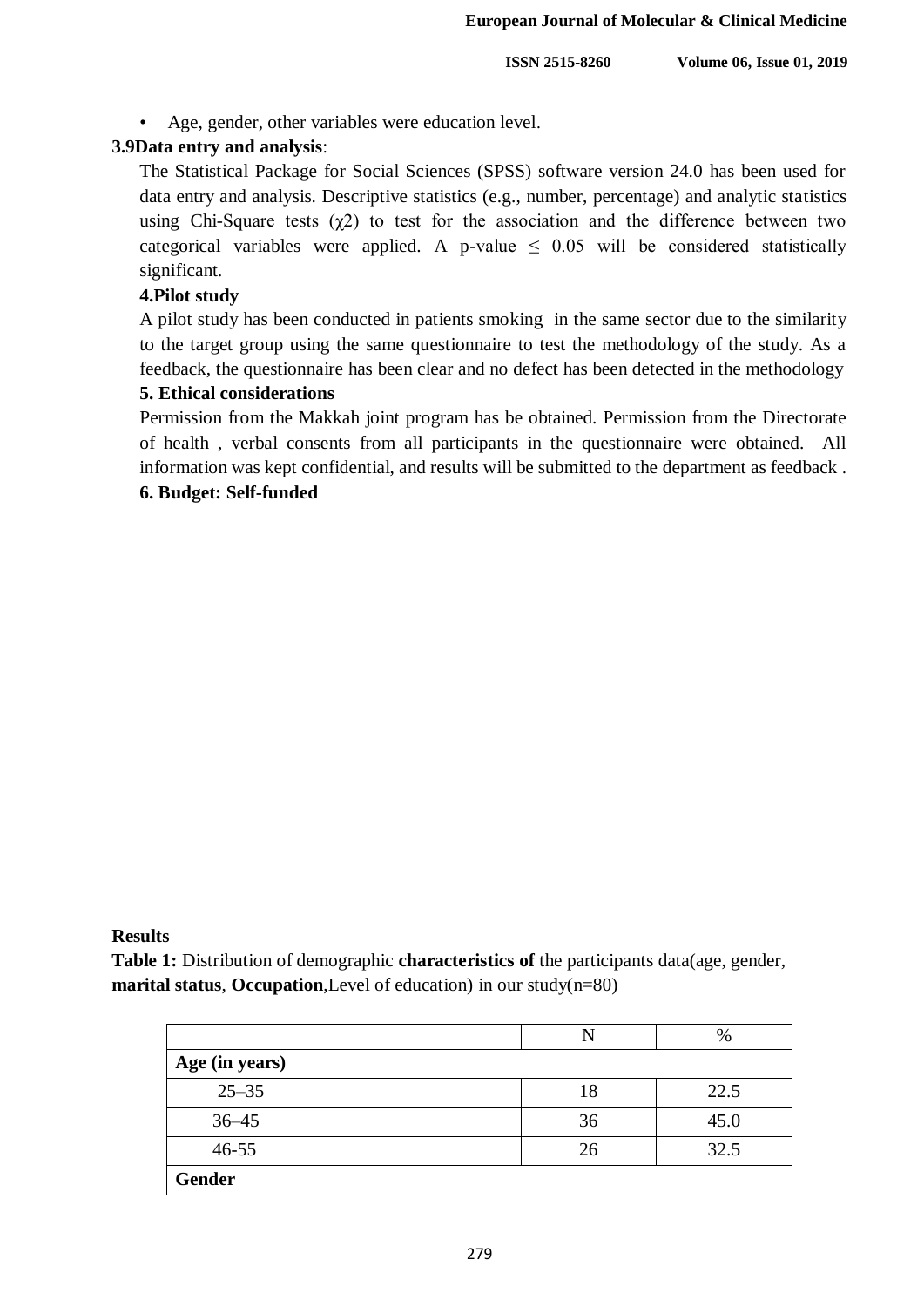• Age, gender, other variables were education level.

#### **3.9Data entry and analysis**:

The Statistical Package for Social Sciences (SPSS) software version 24.0 has been used for data entry and analysis. Descriptive statistics (e.g., number, percentage) and analytic statistics using Chi-Square tests  $(\chi^2)$  to test for the association and the difference between two categorical variables were applied. A p-value  $\leq$  0.05 will be considered statistically significant.

#### **4.Pilot study**

A pilot study has been conducted in patients smoking in the same sector due to the similarity to the target group using the same questionnaire to test the methodology of the study. As a feedback, the questionnaire has been clear and no defect has been detected in the methodology

#### **5. Ethical considerations**

Permission from the Makkah joint program has be obtained. Permission from the Directorate of health , verbal consents from all participants in the questionnaire were obtained. All information was kept confidential, and results will be submitted to the department as feedback .

#### **6. Budget: Self-funded**

#### **Results**

**Table 1:** Distribution of demographic **characteristics of** the participants data(age, gender, **marital status, Occupation**, Level of education) in our study(n=80)

|                |    | %    |
|----------------|----|------|
| Age (in years) |    |      |
| $25 - 35$      | 18 | 22.5 |
| $36 - 45$      | 36 | 45.0 |
| $46 - 55$      | 26 | 32.5 |
| <b>Gender</b>  |    |      |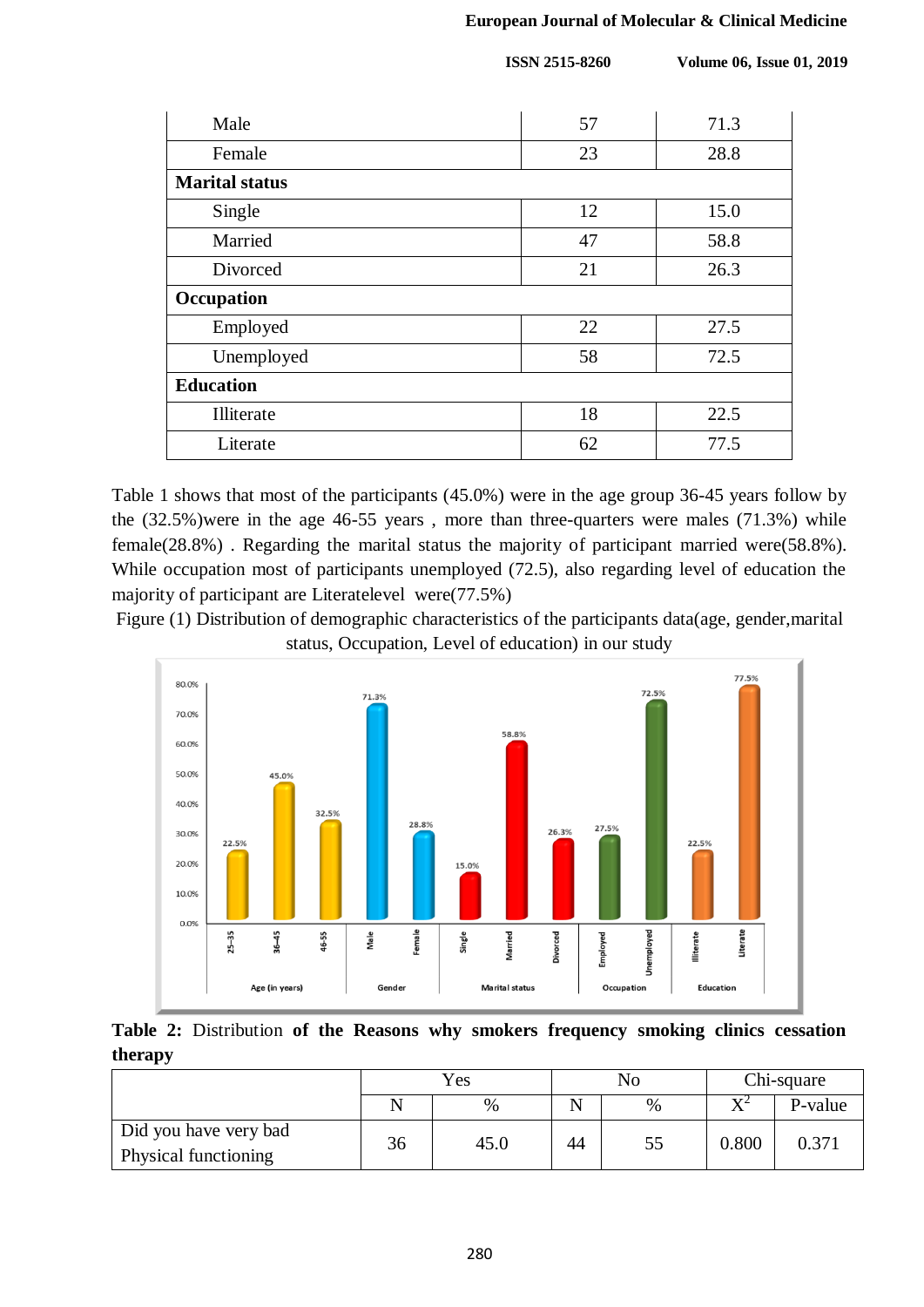| Male                  | 57 | 71.3 |
|-----------------------|----|------|
| Female                | 23 | 28.8 |
| <b>Marital status</b> |    |      |
| Single                | 12 | 15.0 |
| Married               | 47 | 58.8 |
| Divorced              | 21 | 26.3 |
| Occupation            |    |      |
| Employed              | 22 | 27.5 |
| Unemployed            | 58 | 72.5 |
| <b>Education</b>      |    |      |
| Illiterate            | 18 | 22.5 |
| Literate              | 62 | 77.5 |

Table 1 shows that most of the participants (45.0%) were in the age group 36-45 years follow by the (32.5%)were in the age 46-55 years , more than three-quarters were males (71.3%) while female(28.8%) . Regarding the marital status the majority of participant married were(58.8%). While occupation most of participants unemployed (72.5), also regarding level of education the majority of participant are Literatelevel were(77.5%)

Figure (1) Distribution of demographic characteristics of the participants data(age, gender,marital status, Occupation, Level of education) in our study



|         | Table 2: Distribution of the Reasons why smokers frequency smoking clinics cessation |  |  |  |  |  |
|---------|--------------------------------------------------------------------------------------|--|--|--|--|--|
| therapy |                                                                                      |  |  |  |  |  |

|                       |    | Yes  |    | No   | Chi-square                 |         |  |
|-----------------------|----|------|----|------|----------------------------|---------|--|
|                       |    | $\%$ | Ñ  | $\%$ | $\mathbf{V}^{\mathcal{L}}$ | P-value |  |
| Did you have very bad | 36 | 45.0 | 44 | 55   | 0.800                      | 0.371   |  |
| Physical functioning  |    |      |    |      |                            |         |  |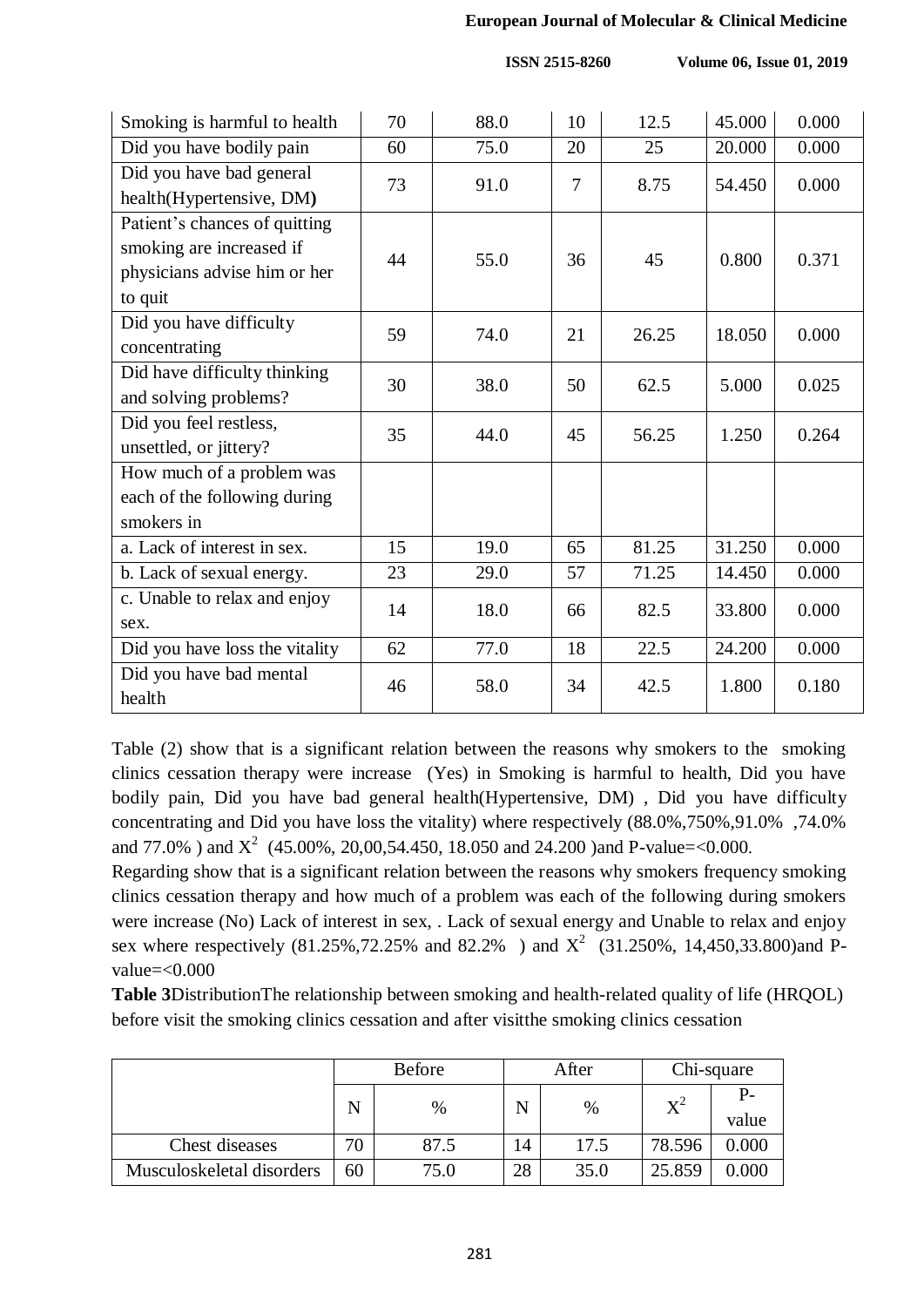#### **European Journal of Molecular & Clinical Medicine**

**ISSN 2515-8260** Volume 06, Issue 01, 2019

| Smoking is harmful to health   | 70 | 88.0 | 10 | 12.5  | 45.000 | 0.000 |
|--------------------------------|----|------|----|-------|--------|-------|
| Did you have bodily pain       | 60 | 75.0 | 20 | 25    | 20.000 | 0.000 |
| Did you have bad general       | 73 | 91.0 | 7  | 8.75  | 54.450 | 0.000 |
| health(Hypertensive, DM)       |    |      |    |       |        |       |
| Patient's chances of quitting  |    |      |    |       |        |       |
| smoking are increased if       | 44 | 55.0 | 36 | 45    | 0.800  | 0.371 |
| physicians advise him or her   |    |      |    |       |        |       |
| to quit                        |    |      |    |       |        |       |
| Did you have difficulty        | 59 | 74.0 | 21 | 26.25 | 18.050 | 0.000 |
| concentrating                  |    |      |    |       |        |       |
| Did have difficulty thinking   | 30 | 38.0 | 50 | 62.5  | 5.000  | 0.025 |
| and solving problems?          |    |      |    |       |        |       |
| Did you feel restless,         | 35 | 44.0 | 45 | 56.25 | 1.250  | 0.264 |
| unsettled, or jittery?         |    |      |    |       |        |       |
| How much of a problem was      |    |      |    |       |        |       |
| each of the following during   |    |      |    |       |        |       |
| smokers in                     |    |      |    |       |        |       |
| a. Lack of interest in sex.    | 15 | 19.0 | 65 | 81.25 | 31.250 | 0.000 |
| b. Lack of sexual energy.      | 23 | 29.0 | 57 | 71.25 | 14.450 | 0.000 |
| c. Unable to relax and enjoy   |    |      | 66 |       |        |       |
| sex.                           | 14 | 18.0 |    | 82.5  | 33.800 | 0.000 |
| Did you have loss the vitality | 62 | 77.0 | 18 | 22.5  | 24.200 | 0.000 |
| Did you have bad mental        |    | 58.0 | 34 | 42.5  | 1.800  | 0.180 |
| health                         | 46 |      |    |       |        |       |
|                                |    |      |    |       |        |       |

Table (2) show that is a significant relation between the reasons why smokers to the smoking clinics cessation therapy were increase (Yes) in Smoking is harmful to health, Did you have bodily pain, Did you have bad general health(Hypertensive, DM) , Did you have difficulty concentrating and Did you have loss the vitality) where respectively (88.0%,750%,91.0% ,74.0% and 77.0% ) and  $X^2$  (45.00%, 20,00,54.450, 18.050 and 24.200 )and P-value=<0.000.

Regarding show that is a significant relation between the reasons why smokers frequency smoking clinics cessation therapy and how much of a problem was each of the following during smokers were increase (No) Lack of interest in sex, . Lack of sexual energy and Unable to relax and enjoy sex where respectively (81.25%,72.25% and 82.2%) and  $X^2$  (31.250%, 14,450,33.800)and Pvalue=<0.000

**Table 3**DistributionThe relationship between smoking and health-related quality of life (HRQOL) before visit the smoking clinics cessation and after visitthe smoking clinics cessation

|                           |    | <b>Before</b> |    | After |             | Chi-square    |
|---------------------------|----|---------------|----|-------|-------------|---------------|
|                           | N  | %             |    | $\%$  | $\rm\,X}^2$ | $P-$<br>value |
| Chest diseases            | 70 | 87.5          | 14 | 17.5  | 78.596      | 0.000         |
| Musculoskeletal disorders | 60 | 75.0          | 28 | 35.0  | 25.859      | 0.000         |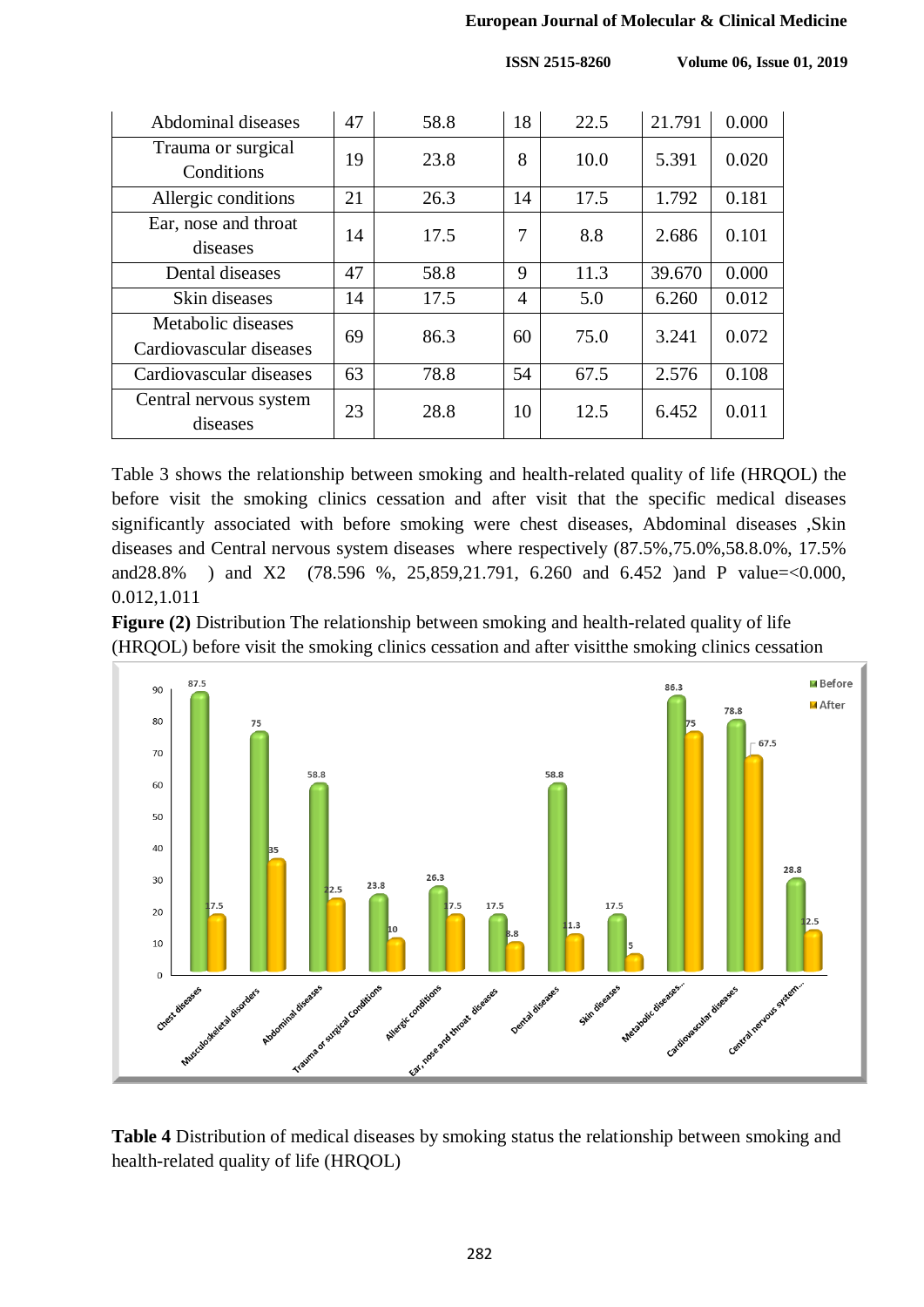#### **European Journal of Molecular & Clinical Medicine**

 **ISSN 2515-8260 Volume 06, Issue 01, 2019**

| Abdominal diseases                            | 47 | 58.8 | 18 | 22.5 | 21.791 | 0.000 |
|-----------------------------------------------|----|------|----|------|--------|-------|
| Trauma or surgical<br>Conditions              | 19 | 23.8 | 8  | 10.0 | 5.391  | 0.020 |
| Allergic conditions                           | 21 | 26.3 | 14 | 17.5 | 1.792  | 0.181 |
| Ear, nose and throat<br>diseases              | 14 | 17.5 | 7  | 8.8  | 2.686  | 0.101 |
| Dental diseases                               | 47 | 58.8 | 9  | 11.3 | 39.670 | 0.000 |
| Skin diseases                                 | 14 | 17.5 | 4  | 5.0  | 6.260  | 0.012 |
| Metabolic diseases<br>Cardiovascular diseases | 69 | 86.3 | 60 | 75.0 | 3.241  | 0.072 |
| Cardiovascular diseases                       | 63 | 78.8 | 54 | 67.5 | 2.576  | 0.108 |
| Central nervous system<br>diseases            | 23 | 28.8 | 10 | 12.5 | 6.452  | 0.011 |

Table 3 shows the relationship between smoking and health-related quality of life (HRQOL) the before visit the smoking clinics cessation and after visit that the specific medical diseases significantly associated with before smoking were chest diseases, Abdominal diseases ,Skin diseases and Central nervous system diseases where respectively (87.5%,75.0%,58.8.0%, 17.5% and28.8% ) and X2 (78.596 %, 25,859,21.791, 6.260 and 6.452 )and P value=<0.000, 0.012,1.011

**Figure (2)** Distribution The relationship between smoking and health-related quality of life (HRQOL) before visit the smoking clinics cessation and after visitthe smoking clinics cessation



**Table 4** Distribution of medical diseases by smoking status the relationship between smoking and health-related quality of life (HRQOL)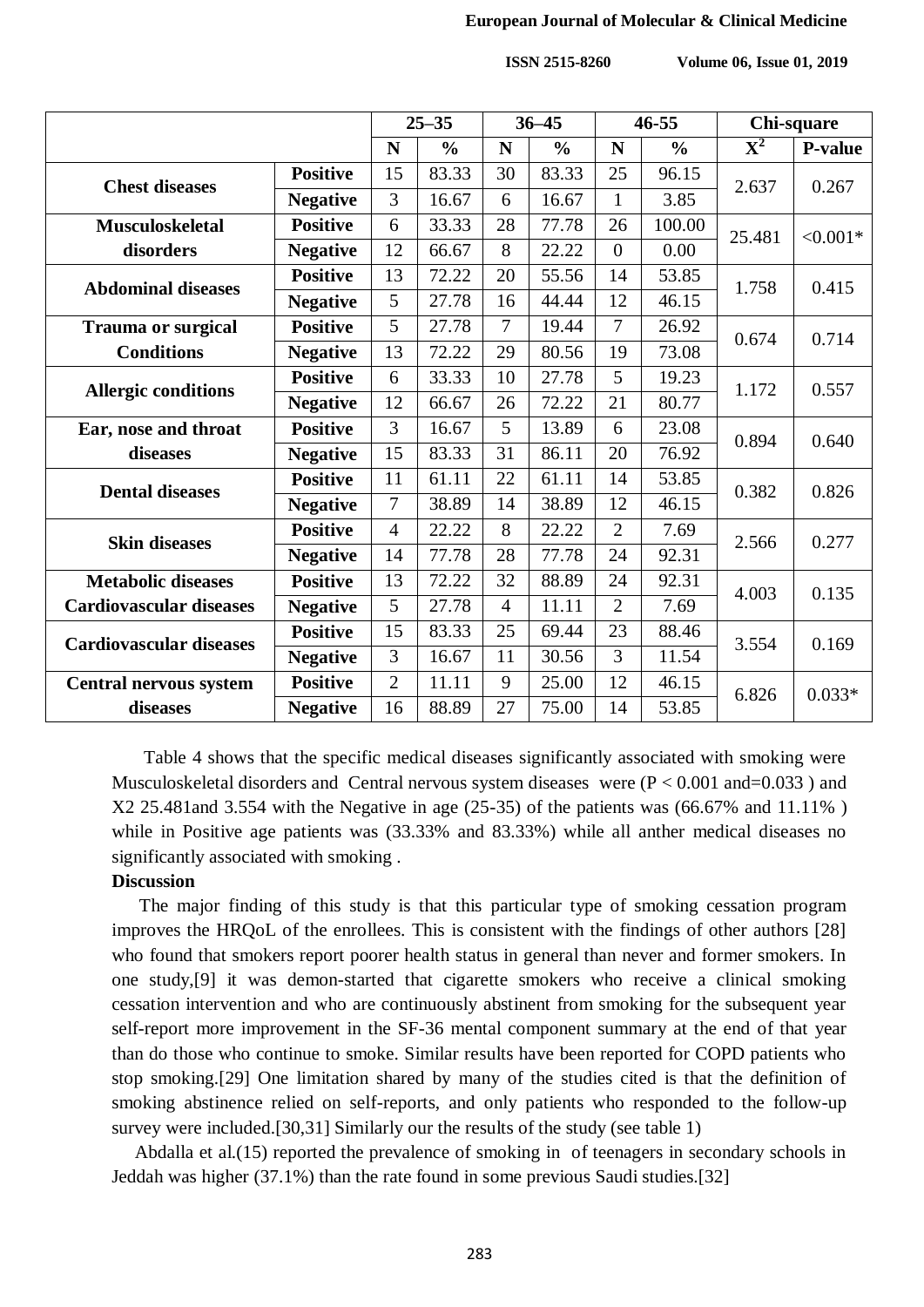#### **European Journal of Molecular & Clinical Medicine**

 **ISSN 2515-8260 Volume 06, Issue 01, 2019**

|                                |                 | $25 - 35$      |               | $36 - 45$      |               | $46 - 55$      |               | Chi-square                |            |
|--------------------------------|-----------------|----------------|---------------|----------------|---------------|----------------|---------------|---------------------------|------------|
|                                |                 | N              | $\frac{0}{0}$ | N              | $\frac{0}{0}$ | N              | $\frac{0}{0}$ | $\overline{\mathbf{X}^2}$ | P-value    |
|                                | <b>Positive</b> | 15             | 83.33         | 30             | 83.33         | 25             | 96.15         |                           |            |
| <b>Chest diseases</b>          | <b>Negative</b> | 3              | 16.67         | 6              | 16.67         | $\mathbf{1}$   | 3.85          | 2.637                     | 0.267      |
| <b>Musculoskeletal</b>         | <b>Positive</b> | 6              | 33.33         | 28             | 77.78         | 26             | 100.00        | 25.481                    | $< 0.001*$ |
| disorders                      | <b>Negative</b> | 12             | 66.67         | 8              | 22.22         | $\theta$       | 0.00          |                           |            |
| <b>Abdominal diseases</b>      | <b>Positive</b> | 13             | 72.22         | 20             | 55.56         | 14             | 53.85         | 1.758                     | 0.415      |
|                                | <b>Negative</b> | 5              | 27.78         | 16             | 44.44         | 12             | 46.15         |                           |            |
| <b>Trauma or surgical</b>      | <b>Positive</b> | 5              | 27.78         | 7              | 19.44         | $\overline{7}$ | 26.92         | 0.674                     | 0.714      |
| <b>Conditions</b>              | <b>Negative</b> | 13             | 72.22         | 29             | 80.56         | 19             | 73.08         |                           |            |
| <b>Allergic conditions</b>     | <b>Positive</b> | 6              | 33.33         | 10             | 27.78         | 5              | 19.23         | 1.172                     | 0.557      |
|                                | <b>Negative</b> | 12             | 66.67         | 26             | 72.22         | 21             | 80.77         |                           |            |
| Ear, nose and throat           | <b>Positive</b> | $\overline{3}$ | 16.67         | 5              | 13.89         | 6              | 23.08         | 0.894                     | 0.640      |
| diseases                       | <b>Negative</b> | 15             | 83.33         | 31             | 86.11         | 20             | 76.92         |                           |            |
| <b>Dental diseases</b>         | <b>Positive</b> | 11             | 61.11         | 22             | 61.11         | 14             | 53.85         | 0.382                     | 0.826      |
|                                | <b>Negative</b> | 7              | 38.89         | 14             | 38.89         | 12             | 46.15         |                           |            |
| <b>Skin diseases</b>           | <b>Positive</b> | $\overline{4}$ | 22.22         | 8              | 22.22         | $\overline{2}$ | 7.69          | 2.566                     | 0.277      |
|                                | <b>Negative</b> | 14             | 77.78         | 28             | 77.78         | 24             | 92.31         |                           |            |
| <b>Metabolic diseases</b>      | <b>Positive</b> | 13             | 72.22         | 32             | 88.89         | 24             | 92.31         | 4.003                     | 0.135      |
| <b>Cardiovascular diseases</b> | <b>Negative</b> | 5              | 27.78         | $\overline{4}$ | 11.11         | $\overline{2}$ | 7.69          |                           |            |
| <b>Cardiovascular diseases</b> | <b>Positive</b> | 15             | 83.33         | 25             | 69.44         | 23             | 88.46         | 3.554                     | 0.169      |
|                                | <b>Negative</b> | 3              | 16.67         | 11             | 30.56         | 3              | 11.54         |                           |            |
| <b>Central nervous system</b>  | <b>Positive</b> | $\overline{2}$ | 11.11         | 9              | 25.00         | 12             | 46.15         | 6.826                     | $0.033*$   |
| diseases                       | <b>Negative</b> | 16             | 88.89         | 27             | 75.00         | 14             | 53.85         |                           |            |

 Table 4 shows that the specific medical diseases significantly associated with smoking were Musculoskeletal disorders and Central nervous system diseases were  $(P < 0.001$  and=0.033 ) and X2 25.481and 3.554 with the Negative in age (25-35) of the patients was (66.67% and 11.11% ) while in Positive age patients was (33.33% and 83.33%) while all anther medical diseases no significantly associated with smoking .

#### **Discussion**

 The major finding of this study is that this particular type of smoking cessation program improves the HRQoL of the enrollees. This is consistent with the findings of other authors [28] who found that smokers report poorer health status in general than never and former smokers. In one study,[9] it was demon-started that cigarette smokers who receive a clinical smoking cessation intervention and who are continuously abstinent from smoking for the subsequent year self-report more improvement in the SF-36 mental component summary at the end of that year than do those who continue to smoke. Similar results have been reported for COPD patients who stop smoking.[29] One limitation shared by many of the studies cited is that the definition of smoking abstinence relied on self-reports, and only patients who responded to the follow-up survey were included.[30,31] Similarly our the results of the study (see table 1)

 Abdalla et al.(15) reported the prevalence of smoking in of teenagers in secondary schools in Jeddah was higher (37.1%) than the rate found in some previous Saudi studies.[32]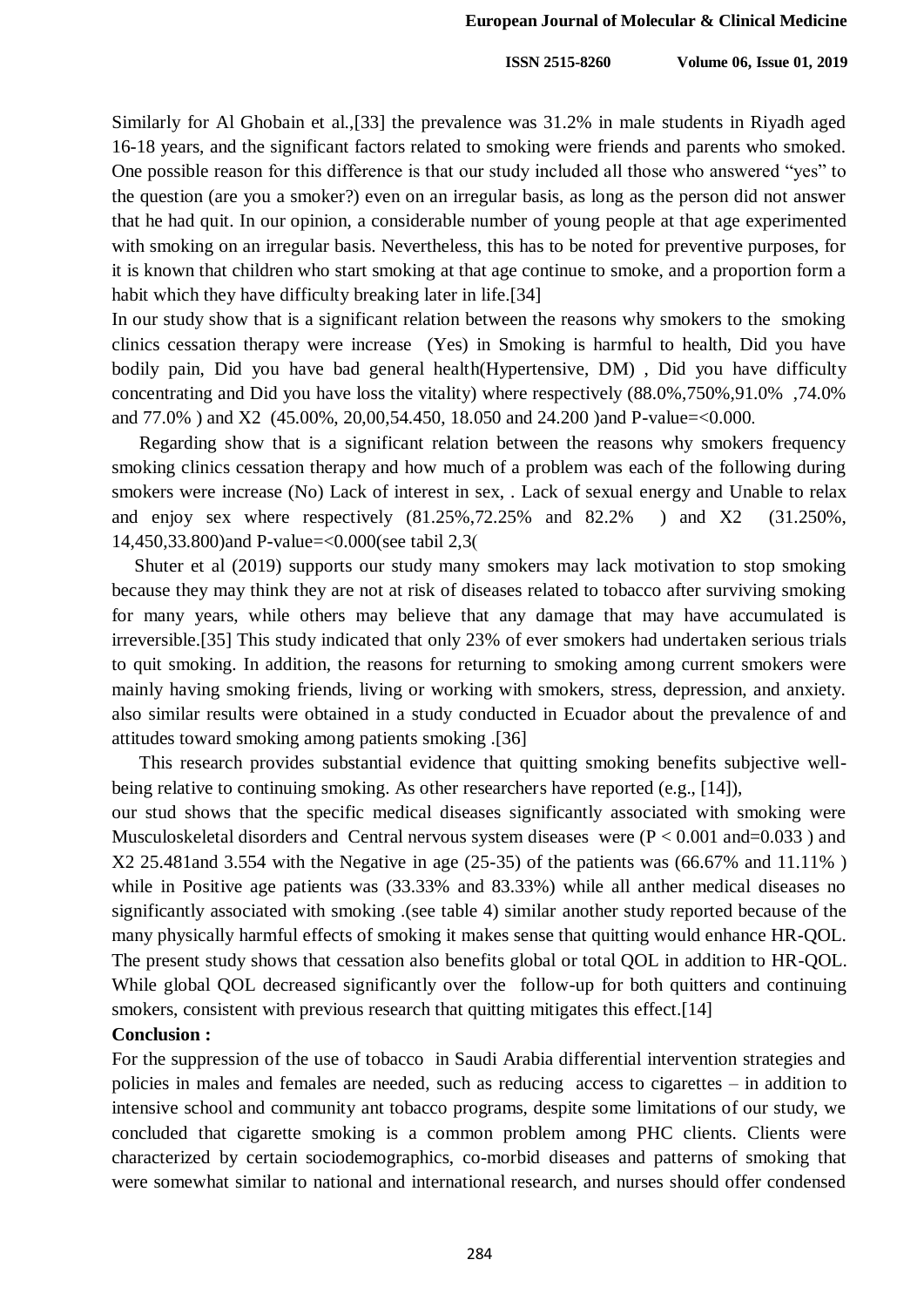Similarly for Al Ghobain et al.,[33] the prevalence was 31.2% in male students in Riyadh aged 16-18 years, and the significant factors related to smoking were friends and parents who smoked. One possible reason for this difference is that our study included all those who answered "yes" to the question (are you a smoker?) even on an irregular basis, as long as the person did not answer that he had quit. In our opinion, a considerable number of young people at that age experimented with smoking on an irregular basis. Nevertheless, this has to be noted for preventive purposes, for it is known that children who start smoking at that age continue to smoke, and a proportion form a habit which they have difficulty breaking later in life.[34]

In our study show that is a significant relation between the reasons why smokers to the smoking clinics cessation therapy were increase (Yes) in Smoking is harmful to health, Did you have bodily pain, Did you have bad general health(Hypertensive, DM) , Did you have difficulty concentrating and Did you have loss the vitality) where respectively (88.0%,750%,91.0% ,74.0% and 77.0% ) and X2 (45.00%, 20,00,54.450, 18.050 and 24.200 )and P-value=<0.000.

 Regarding show that is a significant relation between the reasons why smokers frequency smoking clinics cessation therapy and how much of a problem was each of the following during smokers were increase (No) Lack of interest in sex, . Lack of sexual energy and Unable to relax and enjoy sex where respectively (81.25%,72.25% and 82.2% ) and X2 (31.250%, 14,450,33.800)and P-value=<0.000(see tabil 2,3)

 Shuter et al (2019) supports our study many smokers may lack motivation to stop smoking because they may think they are not at risk of diseases related to tobacco after surviving smoking for many years, while others may believe that any damage that may have accumulated is irreversible.[35] This study indicated that only 23% of ever smokers had undertaken serious trials to quit smoking. In addition, the reasons for returning to smoking among current smokers were mainly having smoking friends, living or working with smokers, stress, depression, and anxiety. also similar results were obtained in a study conducted in Ecuador about the prevalence of and attitudes toward smoking among patients smoking .[36]

 This research provides substantial evidence that quitting smoking benefits subjective wellbeing relative to continuing smoking. As other researchers have reported (e.g., [14]),

our stud shows that the specific medical diseases significantly associated with smoking were Musculoskeletal disorders and Central nervous system diseases were  $(P < 0.001$  and=0.033 ) and X2 25.481and 3.554 with the Negative in age (25-35) of the patients was (66.67% and 11.11% ) while in Positive age patients was  $(33.33\%)$  and  $(83.33\%)$  while all anther medical diseases no significantly associated with smoking .(see table 4) similar another study reported because of the many physically harmful effects of smoking it makes sense that quitting would enhance HR-QOL. The present study shows that cessation also benefits global or total OOL in addition to HR-OOL. While global QOL decreased significantly over the follow-up for both quitters and continuing smokers, consistent with previous research that quitting mitigates this effect.[14]

#### **Conclusion :**

For the suppression of the use of tobacco in Saudi Arabia differential intervention strategies and policies in males and females are needed, such as reducing access to cigarettes – in addition to intensive school and community ant tobacco programs, despite some limitations of our study, we concluded that cigarette smoking is a common problem among PHC clients. Clients were characterized by certain sociodemographics, co-morbid diseases and patterns of smoking that were somewhat similar to national and international research, and nurses should offer condensed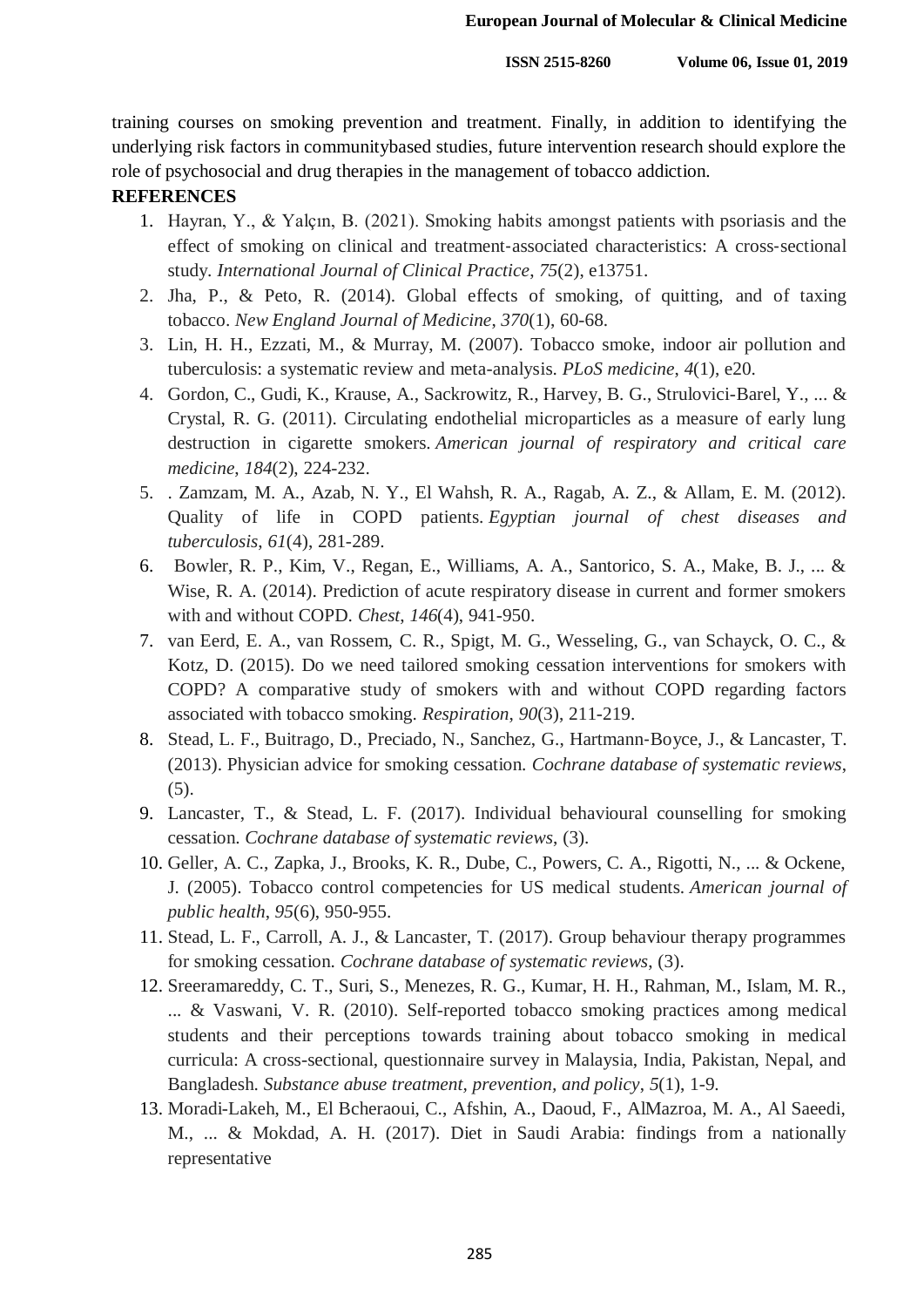training courses on smoking prevention and treatment. Finally, in addition to identifying the underlying risk factors in communitybased studies, future intervention research should explore the role of psychosocial and drug therapies in the management of tobacco addiction.

## **REFERENCES**

- 1. Hayran, Y., & Yalçın, B. (2021). Smoking habits amongst patients with psoriasis and the effect of smoking on clinical and treatment‐associated characteristics: A cross‐sectional study. *International Journal of Clinical Practice*, *75*(2), e13751.
- 2. Jha, P., & Peto, R. (2014). Global effects of smoking, of quitting, and of taxing tobacco. *New England Journal of Medicine*, *370*(1), 60-68.
- 3. Lin, H. H., Ezzati, M., & Murray, M. (2007). Tobacco smoke, indoor air pollution and tuberculosis: a systematic review and meta-analysis. *PLoS medicine*, *4*(1), e20.
- 4. Gordon, C., Gudi, K., Krause, A., Sackrowitz, R., Harvey, B. G., Strulovici-Barel, Y., ... & Crystal, R. G. (2011). Circulating endothelial microparticles as a measure of early lung destruction in cigarette smokers. *American journal of respiratory and critical care medicine*, *184*(2), 224-232.
- 5. . Zamzam, M. A., Azab, N. Y., El Wahsh, R. A., Ragab, A. Z., & Allam, E. M. (2012). Quality of life in COPD patients. *Egyptian journal of chest diseases and tuberculosis*, *61*(4), 281-289.
- 6. Bowler, R. P., Kim, V., Regan, E., Williams, A. A., Santorico, S. A., Make, B. J., ... & Wise, R. A. (2014). Prediction of acute respiratory disease in current and former smokers with and without COPD. *Chest*, *146*(4), 941-950.
- 7. van Eerd, E. A., van Rossem, C. R., Spigt, M. G., Wesseling, G., van Schayck, O. C., & Kotz, D. (2015). Do we need tailored smoking cessation interventions for smokers with COPD? A comparative study of smokers with and without COPD regarding factors associated with tobacco smoking. *Respiration*, *90*(3), 211-219.
- 8. Stead, L. F., Buitrago, D., Preciado, N., Sanchez, G., Hartmann‐Boyce, J., & Lancaster, T. (2013). Physician advice for smoking cessation. *Cochrane database of systematic reviews*, (5).
- 9. Lancaster, T., & Stead, L. F. (2017). Individual behavioural counselling for smoking cessation. *Cochrane database of systematic reviews*, (3).
- 10. Geller, A. C., Zapka, J., Brooks, K. R., Dube, C., Powers, C. A., Rigotti, N., ... & Ockene, J. (2005). Tobacco control competencies for US medical students. *American journal of public health*, *95*(6), 950-955.
- 11. Stead, L. F., Carroll, A. J., & Lancaster, T. (2017). Group behaviour therapy programmes for smoking cessation. *Cochrane database of systematic reviews*, (3).
- 12. Sreeramareddy, C. T., Suri, S., Menezes, R. G., Kumar, H. H., Rahman, M., Islam, M. R., ... & Vaswani, V. R. (2010). Self-reported tobacco smoking practices among medical students and their perceptions towards training about tobacco smoking in medical curricula: A cross-sectional, questionnaire survey in Malaysia, India, Pakistan, Nepal, and Bangladesh. *Substance abuse treatment, prevention, and policy*, *5*(1), 1-9.
- 13. Moradi-Lakeh, M., El Bcheraoui, C., Afshin, A., Daoud, F., AlMazroa, M. A., Al Saeedi, M., ... & Mokdad, A. H. (2017). Diet in Saudi Arabia: findings from a nationally representative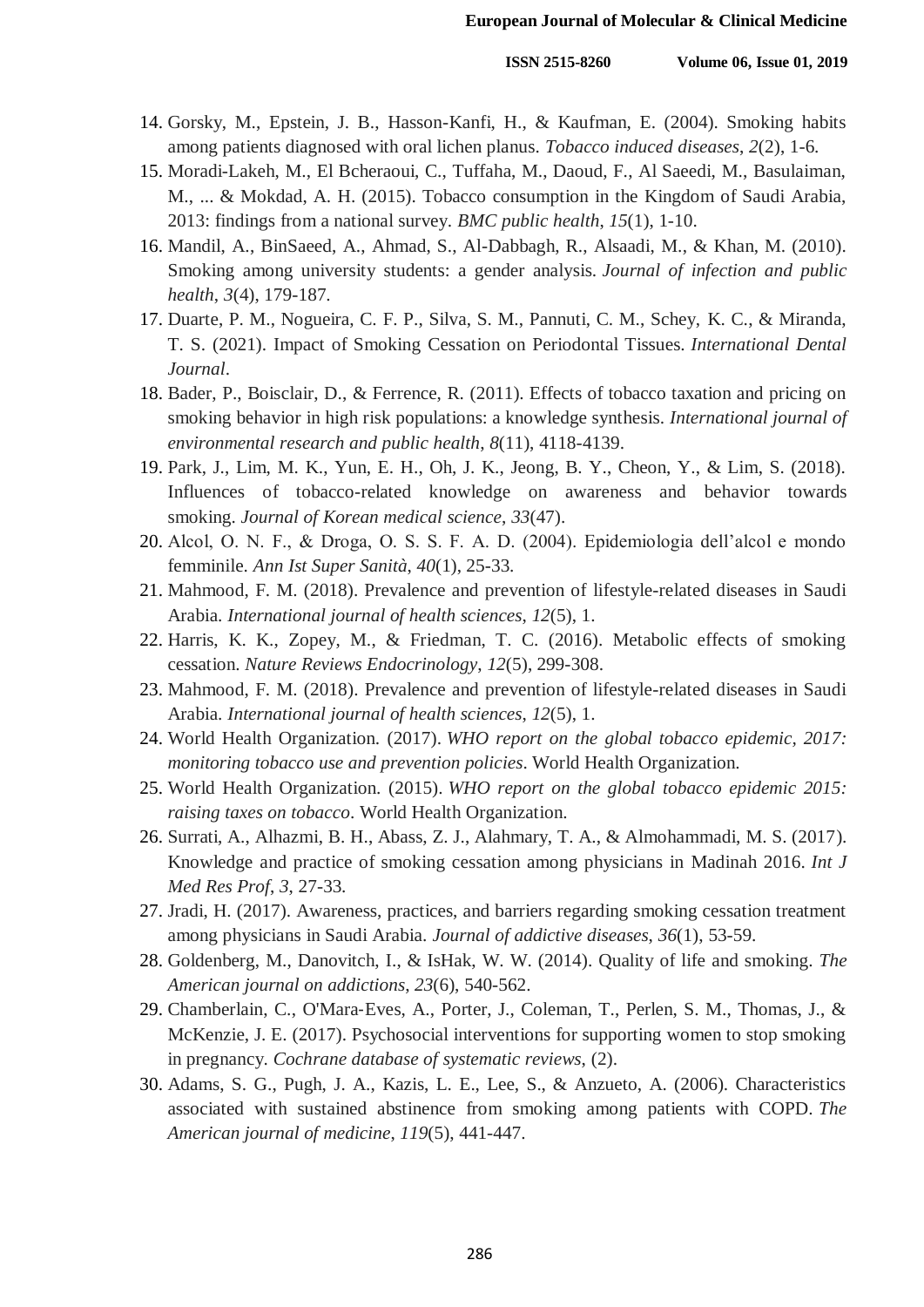- 14. Gorsky, M., Epstein, J. B., Hasson-Kanfi, H., & Kaufman, E. (2004). Smoking habits among patients diagnosed with oral lichen planus. *Tobacco induced diseases*, *2*(2), 1-6.
- 15. Moradi-Lakeh, M., El Bcheraoui, C., Tuffaha, M., Daoud, F., Al Saeedi, M., Basulaiman, M., ... & Mokdad, A. H. (2015). Tobacco consumption in the Kingdom of Saudi Arabia, 2013: findings from a national survey. *BMC public health*, *15*(1), 1-10.
- 16. Mandil, A., BinSaeed, A., Ahmad, S., Al-Dabbagh, R., Alsaadi, M., & Khan, M. (2010). Smoking among university students: a gender analysis. *Journal of infection and public health*, *3*(4), 179-187.
- 17. Duarte, P. M., Nogueira, C. F. P., Silva, S. M., Pannuti, C. M., Schey, K. C., & Miranda, T. S. (2021). Impact of Smoking Cessation on Periodontal Tissues. *International Dental Journal*.
- 18. Bader, P., Boisclair, D., & Ferrence, R. (2011). Effects of tobacco taxation and pricing on smoking behavior in high risk populations: a knowledge synthesis. *International journal of environmental research and public health*, *8*(11), 4118-4139.
- 19. Park, J., Lim, M. K., Yun, E. H., Oh, J. K., Jeong, B. Y., Cheon, Y., & Lim, S. (2018). Influences of tobacco-related knowledge on awareness and behavior towards smoking. *Journal of Korean medical science*, *33*(47).
- 20. Alcol, O. N. F., & Droga, O. S. S. F. A. D. (2004). Epidemiologia dell'alcol e mondo femminile. *Ann Ist Super Sanità*, *40*(1), 25-33.
- 21. Mahmood, F. M. (2018). Prevalence and prevention of lifestyle-related diseases in Saudi Arabia. *International journal of health sciences*, *12*(5), 1.
- 22. Harris, K. K., Zopey, M., & Friedman, T. C. (2016). Metabolic effects of smoking cessation. *Nature Reviews Endocrinology*, *12*(5), 299-308.
- 23. Mahmood, F. M. (2018). Prevalence and prevention of lifestyle-related diseases in Saudi Arabia. *International journal of health sciences*, *12*(5), 1.
- 24. World Health Organization. (2017). *WHO report on the global tobacco epidemic, 2017: monitoring tobacco use and prevention policies*. World Health Organization.
- 25. World Health Organization. (2015). *WHO report on the global tobacco epidemic 2015: raising taxes on tobacco*. World Health Organization.
- 26. Surrati, A., Alhazmi, B. H., Abass, Z. J., Alahmary, T. A., & Almohammadi, M. S. (2017). Knowledge and practice of smoking cessation among physicians in Madinah 2016. *Int J Med Res Prof*, *3*, 27-33.
- 27. Jradi, H. (2017). Awareness, practices, and barriers regarding smoking cessation treatment among physicians in Saudi Arabia. *Journal of addictive diseases*, *36*(1), 53-59.
- 28. Goldenberg, M., Danovitch, I., & IsHak, W. W. (2014). Quality of life and smoking. *The American journal on addictions*, *23*(6), 540-562.
- 29. Chamberlain, C., O'Mara‐Eves, A., Porter, J., Coleman, T., Perlen, S. M., Thomas, J., & McKenzie, J. E. (2017). Psychosocial interventions for supporting women to stop smoking in pregnancy. *Cochrane database of systematic reviews*, (2).
- 30. Adams, S. G., Pugh, J. A., Kazis, L. E., Lee, S., & Anzueto, A. (2006). Characteristics associated with sustained abstinence from smoking among patients with COPD. *The American journal of medicine*, *119*(5), 441-447.